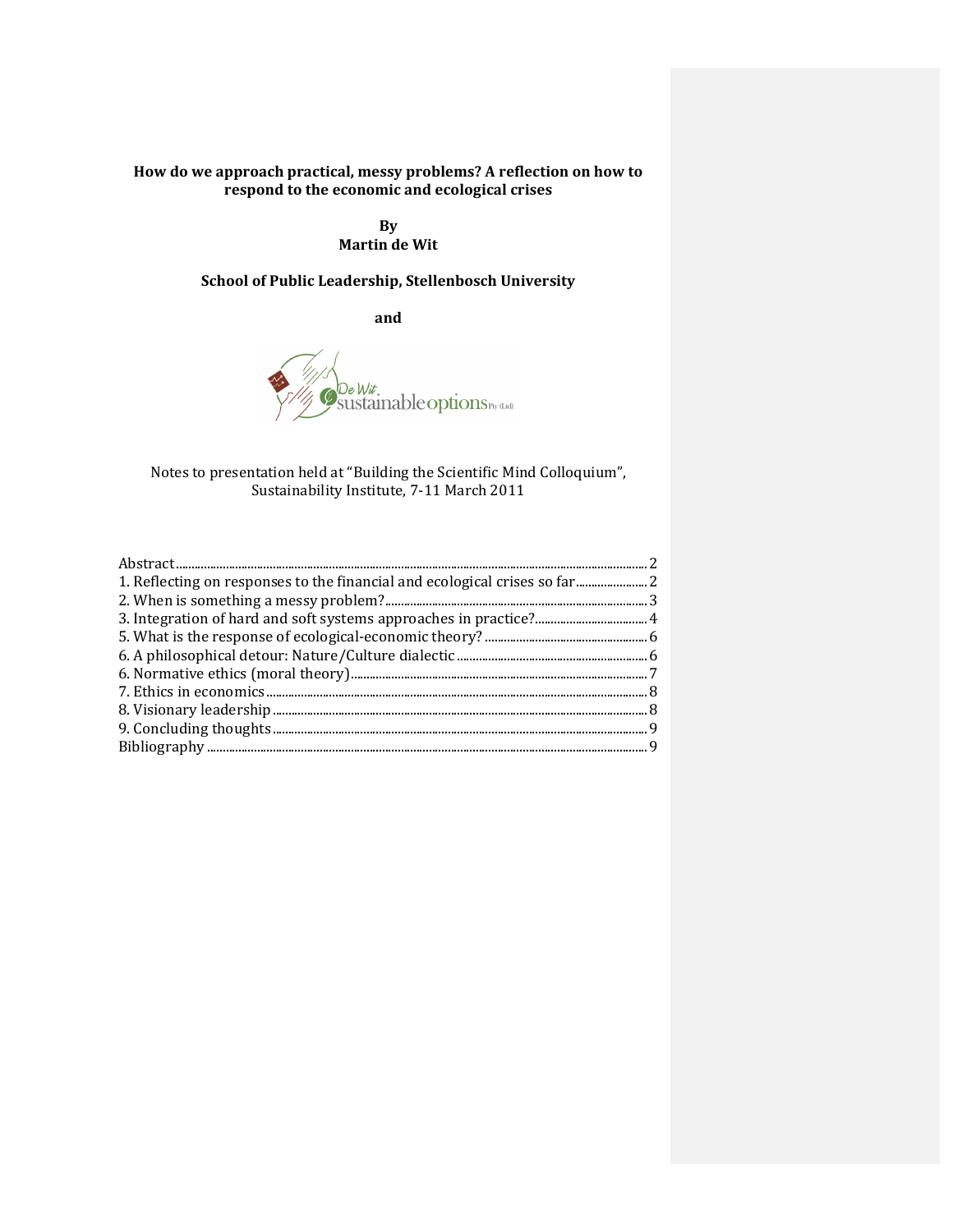#### How do we approach practical, messy problems? A reflection on how to respond to the economic and ecological crises

By Martin de Wit

#### School of Public Leadership, Stellenbosch University

and



Notes to presentation held at "Building the Scientific Mind Colloquium", Sustainability Institute, 7-11 March 2011

| 1. Reflecting on responses to the financial and ecological crises so far 2 |  |
|----------------------------------------------------------------------------|--|
|                                                                            |  |
|                                                                            |  |
|                                                                            |  |
|                                                                            |  |
|                                                                            |  |
|                                                                            |  |
|                                                                            |  |
|                                                                            |  |
|                                                                            |  |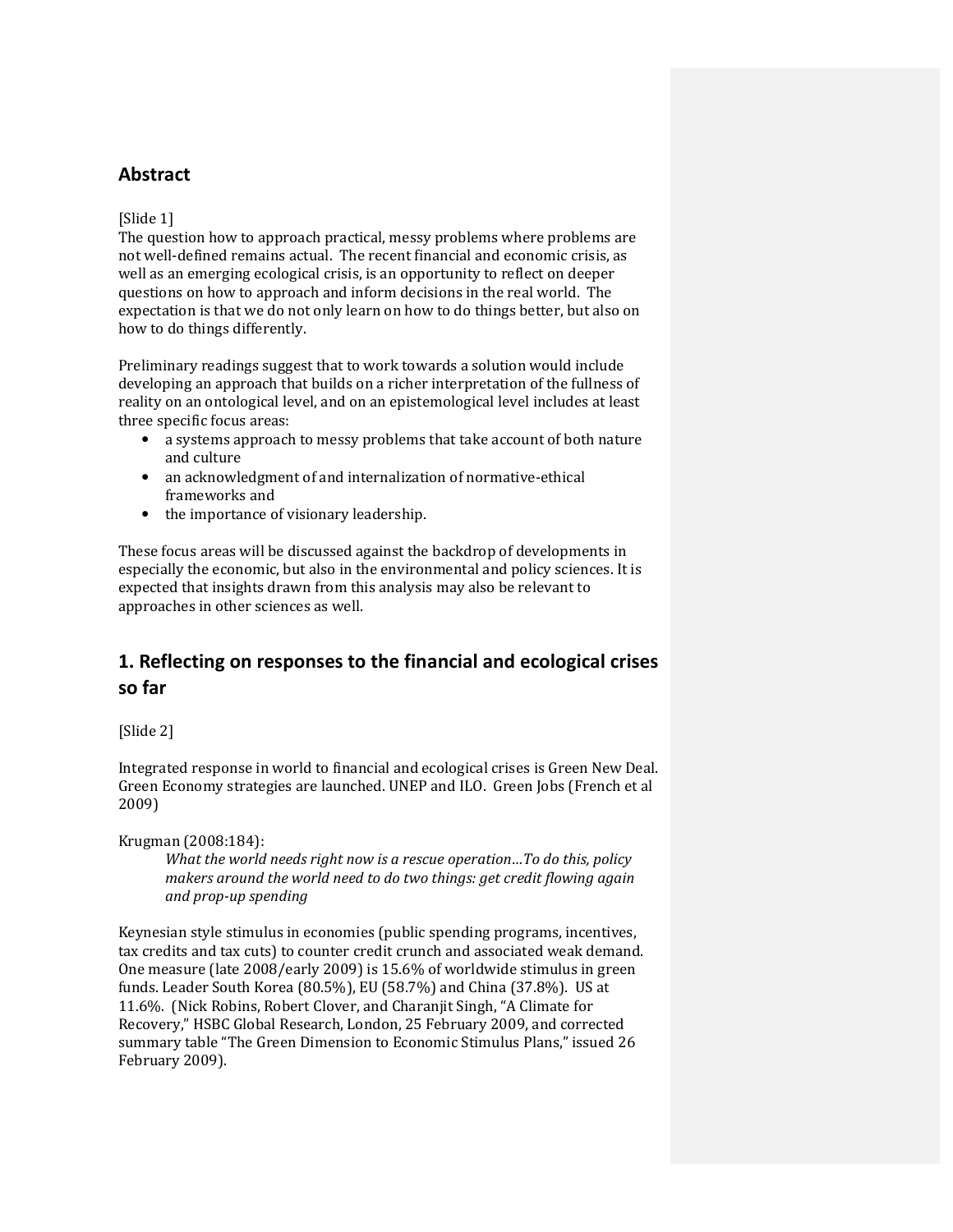### Abstract

#### [Slide 1]

The question how to approach practical, messy problems where problems are not well-defined remains actual. The recent financial and economic crisis, as well as an emerging ecological crisis, is an opportunity to reflect on deeper questions on how to approach and inform decisions in the real world. The expectation is that we do not only learn on how to do things better, but also on how to do things differently.

Preliminary readings suggest that to work towards a solution would include developing an approach that builds on a richer interpretation of the fullness of reality on an ontological level, and on an epistemological level includes at least three specific focus areas:

- a systems approach to messy problems that take account of both nature and culture
- an acknowledgment of and internalization of normative-ethical frameworks and
- the importance of visionary leadership.

These focus areas will be discussed against the backdrop of developments in especially the economic, but also in the environmental and policy sciences. It is expected that insights drawn from this analysis may also be relevant to approaches in other sciences as well.

# 1. Reflecting on responses to the financial and ecological crises so far

[Slide 2]

Integrated response in world to financial and ecological crises is Green New Deal. Green Economy strategies are launched. UNEP and ILO. Green Jobs (French et al 2009)

#### Krugman (2008:184):

What the world needs right now is a rescue operation…To do this, policy makers around the world need to do two things: get credit flowing again and prop-up spending

Keynesian style stimulus in economies (public spending programs, incentives, tax credits and tax cuts) to counter credit crunch and associated weak demand. One measure (late 2008/early 2009) is 15.6% of worldwide stimulus in green funds. Leader South Korea (80.5%), EU (58.7%) and China (37.8%). US at 11.6%. (Nick Robins, Robert Clover, and Charanjit Singh, "A Climate for Recovery," HSBC Global Research, London, 25 February 2009, and corrected summary table "The Green Dimension to Economic Stimulus Plans," issued 26 February 2009).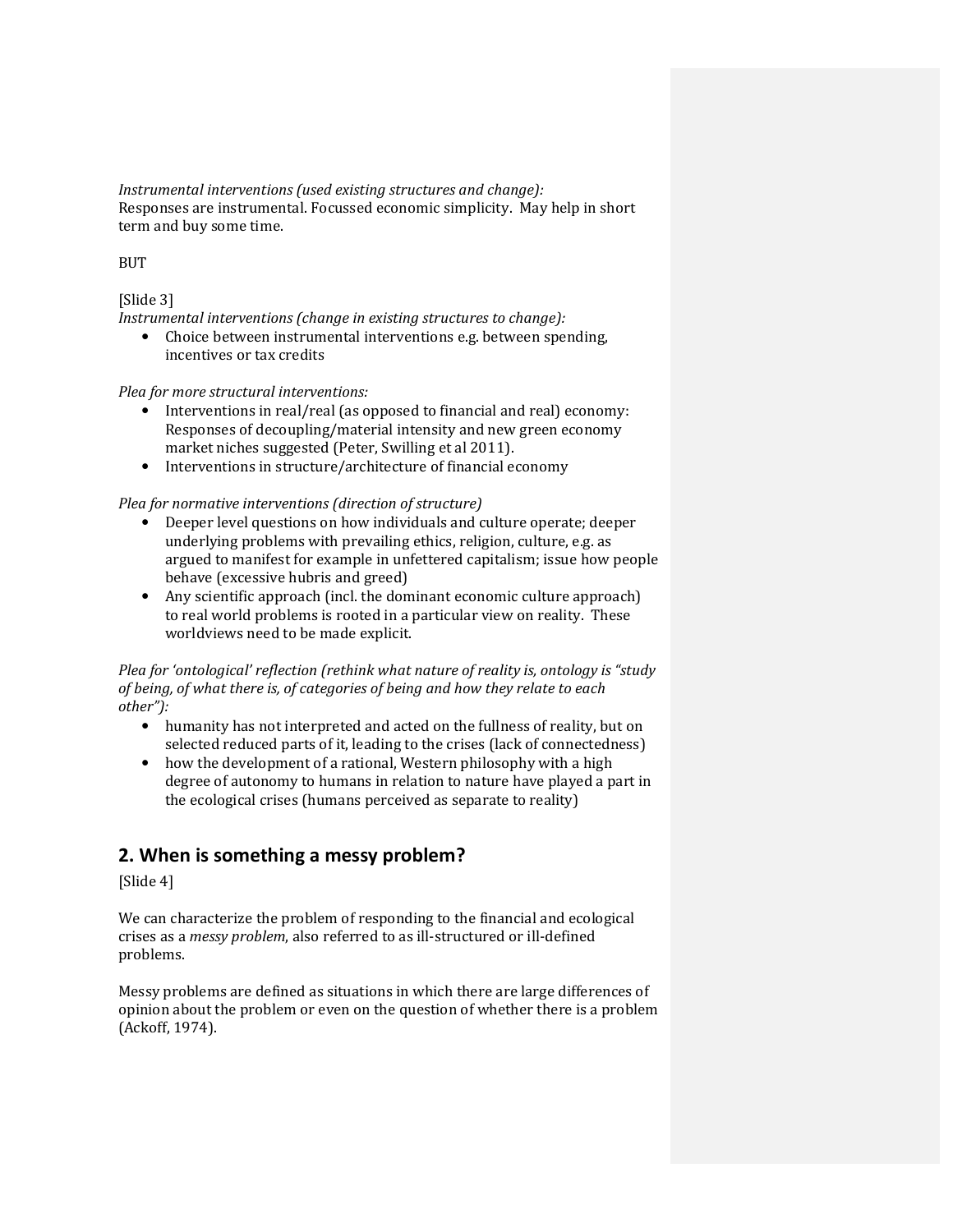Instrumental interventions (used existing structures and change): Responses are instrumental. Focussed economic simplicity. May help in short term and buy some time.

#### BUT

#### [Slide 3]

Instrumental interventions (change in existing structures to change):

• Choice between instrumental interventions e.g. between spending, incentives or tax credits

#### Plea for more structural interventions:

- Interventions in real/real (as opposed to financial and real) economy: Responses of decoupling/material intensity and new green economy market niches suggested (Peter, Swilling et al 2011).
- Interventions in structure/architecture of financial economy

#### Plea for normative interventions (direction of structure)

- Deeper level questions on how individuals and culture operate; deeper underlying problems with prevailing ethics, religion, culture, e.g. as argued to manifest for example in unfettered capitalism; issue how people behave (excessive hubris and greed)
- Any scientific approach (incl. the dominant economic culture approach) to real world problems is rooted in a particular view on reality. These worldviews need to be made explicit.

#### Plea for 'ontological' reflection (rethink what nature of reality is, ontology is "study of being, of what there is, of categories of being and how they relate to each other"):

- humanity has not interpreted and acted on the fullness of reality, but on selected reduced parts of it, leading to the crises (lack of connectedness)
- how the development of a rational, Western philosophy with a high degree of autonomy to humans in relation to nature have played a part in the ecological crises (humans perceived as separate to reality)

## 2. When is something a messy problem?

[Slide 4]

We can characterize the problem of responding to the financial and ecological crises as a messy problem, also referred to as ill-structured or ill-defined problems.

Messy problems are defined as situations in which there are large differences of opinion about the problem or even on the question of whether there is a problem (Ackoff, 1974).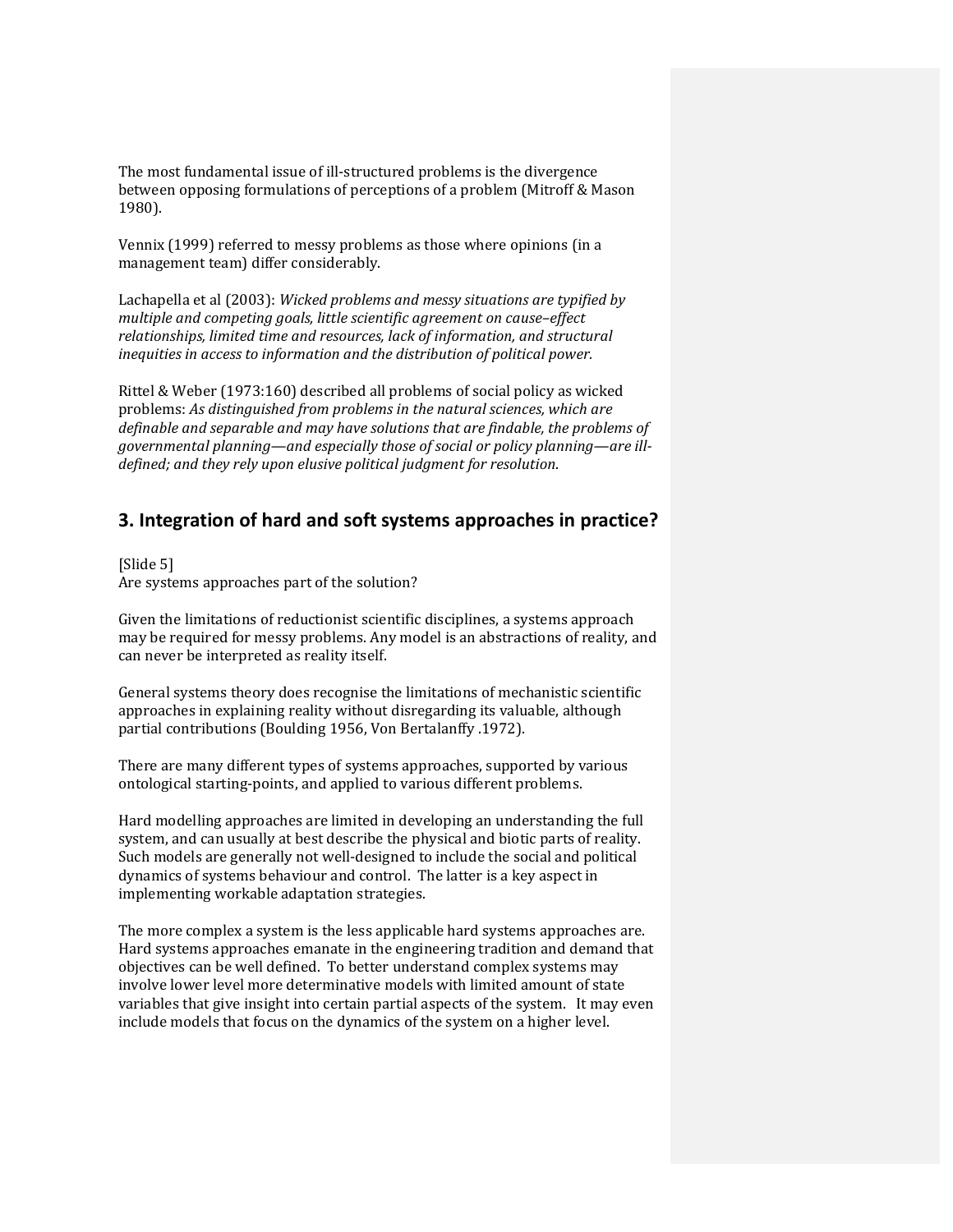The most fundamental issue of ill-structured problems is the divergence between opposing formulations of perceptions of a problem (Mitroff & Mason 1980).

Vennix (1999) referred to messy problems as those where opinions (in a management team) differ considerably.

Lachapella et al (2003): Wicked problems and messy situations are typified by multiple and competing goals, little scientific agreement on cause–effect relationships, limited time and resources, lack of information, and structural inequities in access to information and the distribution of political power.

Rittel & Weber (1973:160) described all problems of social policy as wicked problems: As distinguished from problems in the natural sciences, which are definable and separable and may have solutions that are findable, the problems of governmental planning—and especially those of social or policy planning—are illdefined; and they rely upon elusive political judgment for resolution.

## 3. Integration of hard and soft systems approaches in practice?

[Slide 5] Are systems approaches part of the solution?

Given the limitations of reductionist scientific disciplines, a systems approach may be required for messy problems. Any model is an abstractions of reality, and can never be interpreted as reality itself.

General systems theory does recognise the limitations of mechanistic scientific approaches in explaining reality without disregarding its valuable, although partial contributions (Boulding 1956, Von Bertalanffy .1972).

There are many different types of systems approaches, supported by various ontological starting-points, and applied to various different problems.

Hard modelling approaches are limited in developing an understanding the full system, and can usually at best describe the physical and biotic parts of reality. Such models are generally not well-designed to include the social and political dynamics of systems behaviour and control. The latter is a key aspect in implementing workable adaptation strategies.

The more complex a system is the less applicable hard systems approaches are. Hard systems approaches emanate in the engineering tradition and demand that objectives can be well defined. To better understand complex systems may involve lower level more determinative models with limited amount of state variables that give insight into certain partial aspects of the system. It may even include models that focus on the dynamics of the system on a higher level.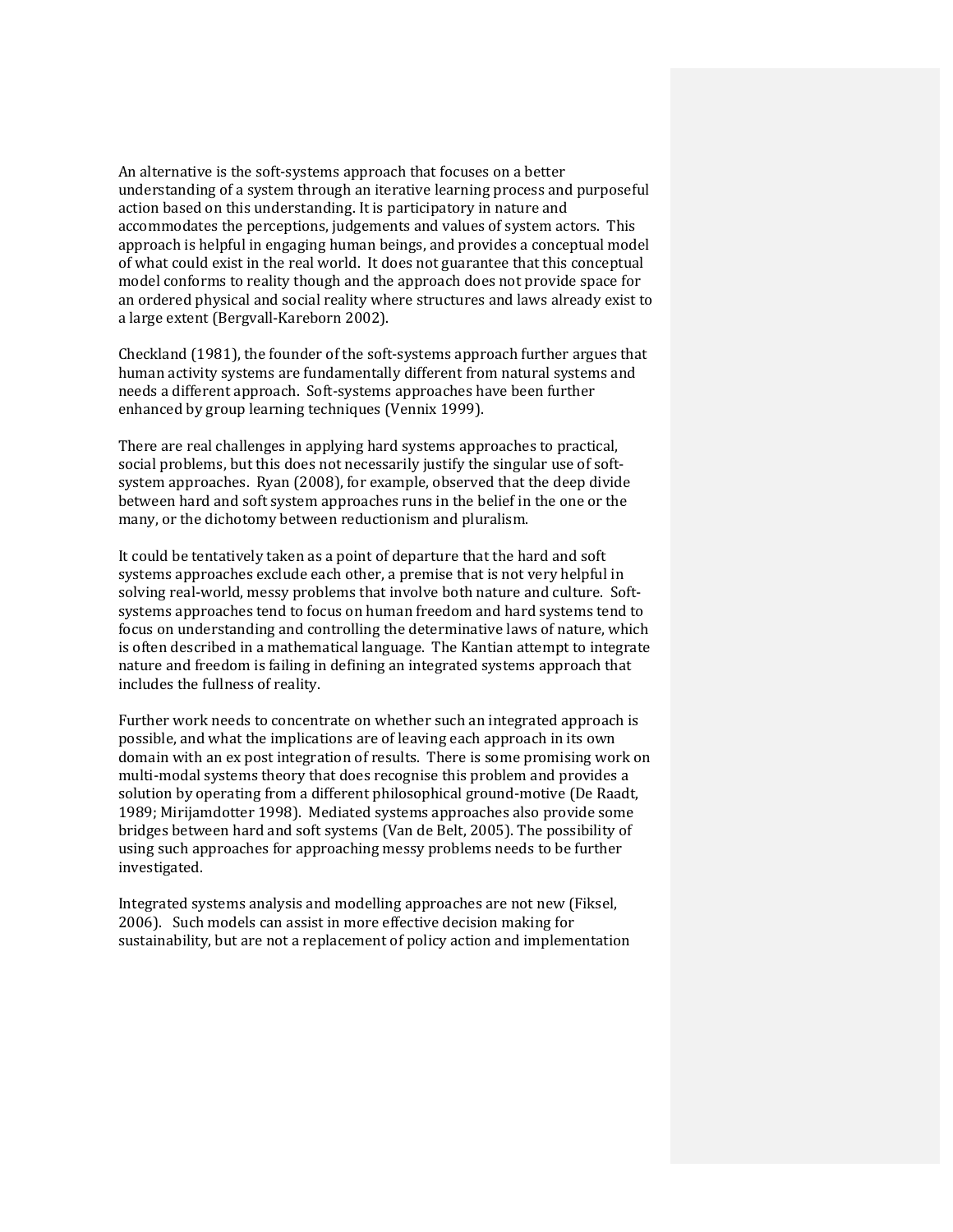An alternative is the soft-systems approach that focuses on a better understanding of a system through an iterative learning process and purposeful action based on this understanding. It is participatory in nature and accommodates the perceptions, judgements and values of system actors. This approach is helpful in engaging human beings, and provides a conceptual model of what could exist in the real world. It does not guarantee that this conceptual model conforms to reality though and the approach does not provide space for an ordered physical and social reality where structures and laws already exist to a large extent (Bergvall-Kareborn 2002).

Checkland (1981), the founder of the soft-systems approach further argues that human activity systems are fundamentally different from natural systems and needs a different approach. Soft-systems approaches have been further enhanced by group learning techniques (Vennix 1999).

There are real challenges in applying hard systems approaches to practical, social problems, but this does not necessarily justify the singular use of softsystem approaches. Ryan (2008), for example, observed that the deep divide between hard and soft system approaches runs in the belief in the one or the many, or the dichotomy between reductionism and pluralism.

It could be tentatively taken as a point of departure that the hard and soft systems approaches exclude each other, a premise that is not very helpful in solving real-world, messy problems that involve both nature and culture. Softsystems approaches tend to focus on human freedom and hard systems tend to focus on understanding and controlling the determinative laws of nature, which is often described in a mathematical language. The Kantian attempt to integrate nature and freedom is failing in defining an integrated systems approach that includes the fullness of reality.

Further work needs to concentrate on whether such an integrated approach is possible, and what the implications are of leaving each approach in its own domain with an ex post integration of results. There is some promising work on multi-modal systems theory that does recognise this problem and provides a solution by operating from a different philosophical ground-motive (De Raadt, 1989; Mirijamdotter 1998). Mediated systems approaches also provide some bridges between hard and soft systems (Van de Belt, 2005). The possibility of using such approaches for approaching messy problems needs to be further investigated.

Integrated systems analysis and modelling approaches are not new (Fiksel, 2006). Such models can assist in more effective decision making for sustainability, but are not a replacement of policy action and implementation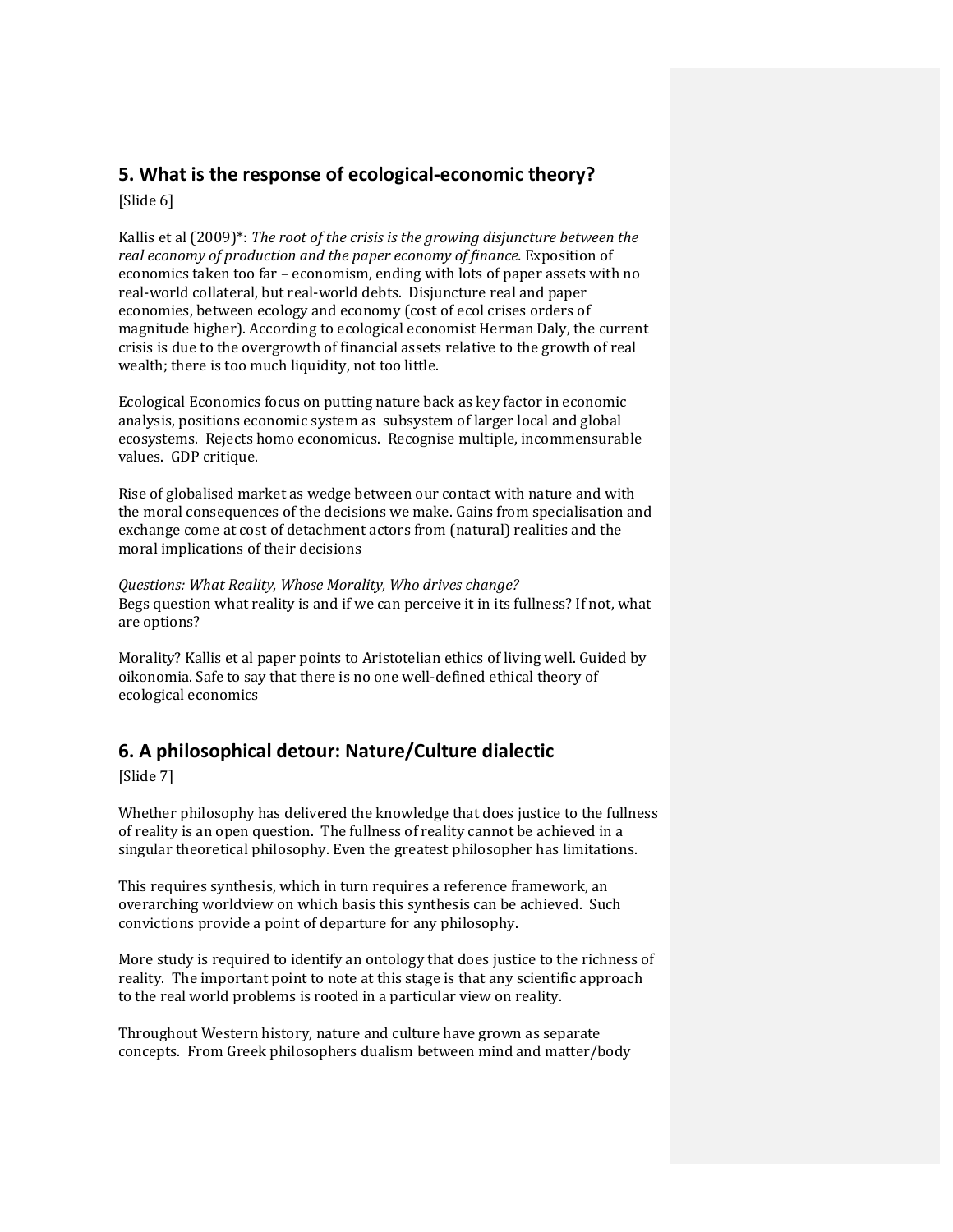# 5. What is the response of ecological-economic theory?

[Slide 6]

Kallis et al (2009)<sup>\*</sup>: The root of the crisis is the growing disjuncture between the real economy of production and the paper economy of finance. Exposition of economics taken too far – economism, ending with lots of paper assets with no real-world collateral, but real-world debts. Disjuncture real and paper economies, between ecology and economy (cost of ecol crises orders of magnitude higher). According to ecological economist Herman Daly, the current crisis is due to the overgrowth of financial assets relative to the growth of real wealth; there is too much liquidity, not too little.

Ecological Economics focus on putting nature back as key factor in economic analysis, positions economic system as subsystem of larger local and global ecosystems. Rejects homo economicus. Recognise multiple, incommensurable values. GDP critique.

Rise of globalised market as wedge between our contact with nature and with the moral consequences of the decisions we make. Gains from specialisation and exchange come at cost of detachment actors from (natural) realities and the moral implications of their decisions

Questions: What Reality, Whose Morality, Who drives change? Begs question what reality is and if we can perceive it in its fullness? If not, what are options?

Morality? Kallis et al paper points to Aristotelian ethics of living well. Guided by oikonomia. Safe to say that there is no one well-defined ethical theory of ecological economics

# 6. A philosophical detour: Nature/Culture dialectic

[Slide 7]

Whether philosophy has delivered the knowledge that does justice to the fullness of reality is an open question. The fullness of reality cannot be achieved in a singular theoretical philosophy. Even the greatest philosopher has limitations.

This requires synthesis, which in turn requires a reference framework, an overarching worldview on which basis this synthesis can be achieved. Such convictions provide a point of departure for any philosophy.

More study is required to identify an ontology that does justice to the richness of reality. The important point to note at this stage is that any scientific approach to the real world problems is rooted in a particular view on reality.

Throughout Western history, nature and culture have grown as separate concepts. From Greek philosophers dualism between mind and matter/body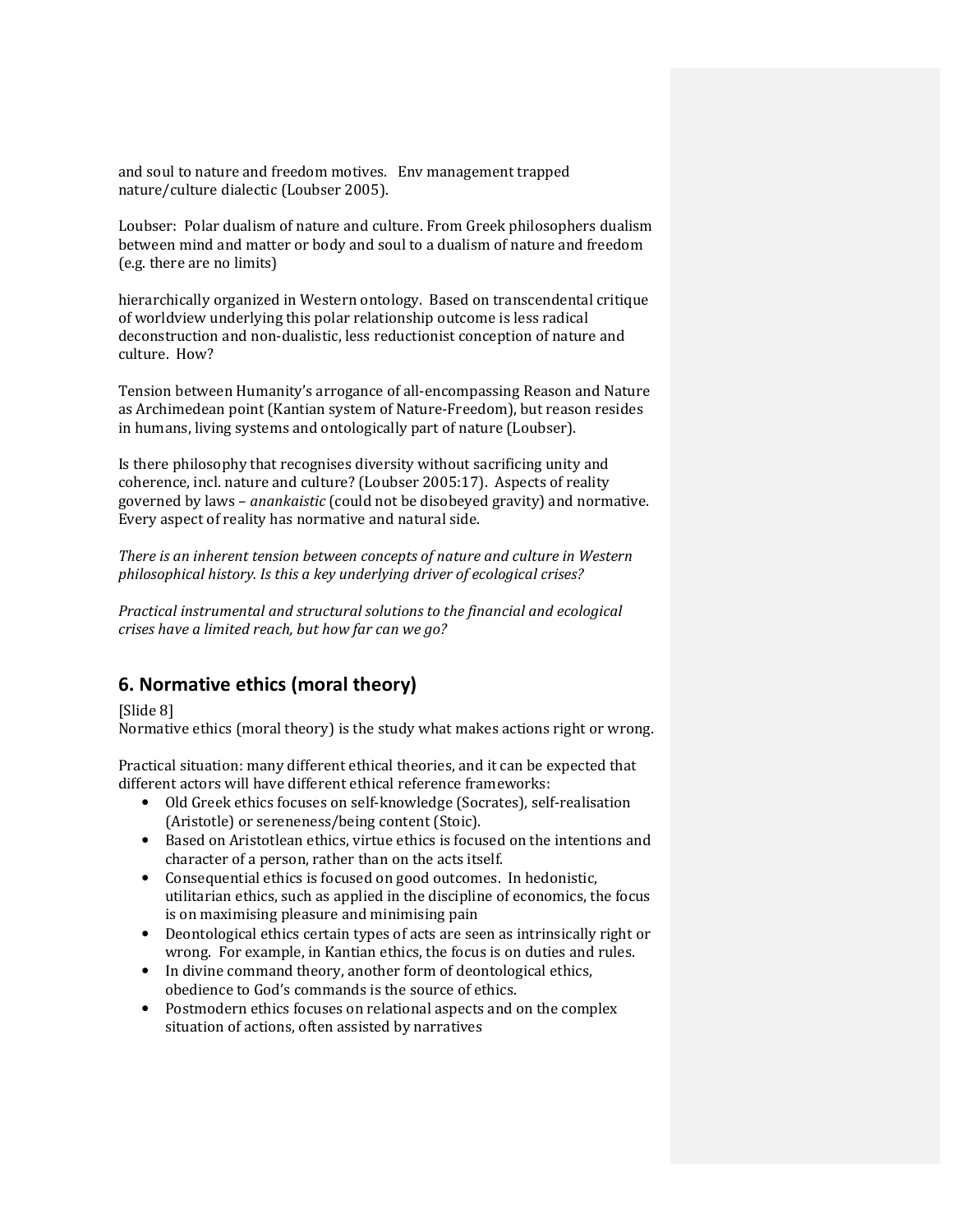and soul to nature and freedom motives. Env management trapped nature/culture dialectic (Loubser 2005).

Loubser: Polar dualism of nature and culture. From Greek philosophers dualism between mind and matter or body and soul to a dualism of nature and freedom (e.g. there are no limits)

hierarchically organized in Western ontology. Based on transcendental critique of worldview underlying this polar relationship outcome is less radical deconstruction and non-dualistic, less reductionist conception of nature and culture. How?

Tension between Humanity's arrogance of all-encompassing Reason and Nature as Archimedean point (Kantian system of Nature-Freedom), but reason resides in humans, living systems and ontologically part of nature (Loubser).

Is there philosophy that recognises diversity without sacrificing unity and coherence, incl. nature and culture? (Loubser 2005:17). Aspects of reality governed by laws – anankaistic (could not be disobeyed gravity) and normative. Every aspect of reality has normative and natural side.

There is an inherent tension between concepts of nature and culture in Western philosophical history. Is this a key underlying driver of ecological crises?

Practical instrumental and structural solutions to the financial and ecological crises have a limited reach, but how far can we go?

# 6. Normative ethics (moral theory)

[Slide 8]

Normative ethics (moral theory) is the study what makes actions right or wrong.

Practical situation: many different ethical theories, and it can be expected that different actors will have different ethical reference frameworks:

- Old Greek ethics focuses on self-knowledge (Socrates), self-realisation (Aristotle) or sereneness/being content (Stoic).
- Based on Aristotlean ethics, virtue ethics is focused on the intentions and character of a person, rather than on the acts itself.
- Consequential ethics is focused on good outcomes. In hedonistic, utilitarian ethics, such as applied in the discipline of economics, the focus is on maximising pleasure and minimising pain
- Deontological ethics certain types of acts are seen as intrinsically right or wrong. For example, in Kantian ethics, the focus is on duties and rules.
- In divine command theory, another form of deontological ethics, obedience to God's commands is the source of ethics.
- Postmodern ethics focuses on relational aspects and on the complex situation of actions, often assisted by narratives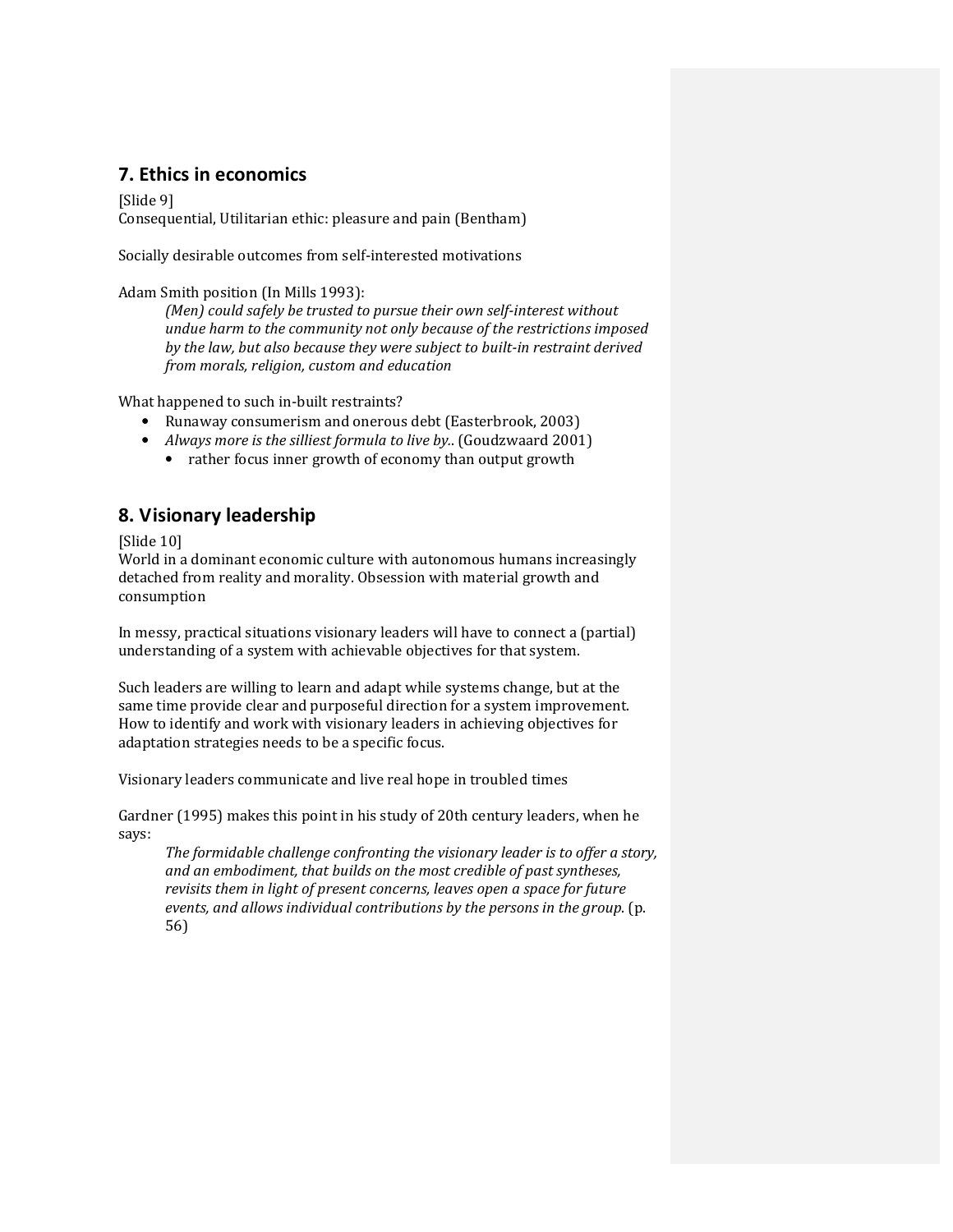## 7. Ethics in economics

[Slide 9] Consequential, Utilitarian ethic: pleasure and pain (Bentham)

Socially desirable outcomes from self-interested motivations

Adam Smith position (In Mills 1993):

(Men) could safely be trusted to pursue their own self-interest without undue harm to the community not only because of the restrictions imposed by the law, but also because they were subject to built-in restraint derived from morals, religion, custom and education

What happened to such in-built restraints?

- Runaway consumerism and onerous debt (Easterbrook, 2003)
- Always more is the silliest formula to live by.. (Goudzwaard 2001)
	- rather focus inner growth of economy than output growth

# 8. Visionary leadership

[Slide 10]

World in a dominant economic culture with autonomous humans increasingly detached from reality and morality. Obsession with material growth and consumption

In messy, practical situations visionary leaders will have to connect a (partial) understanding of a system with achievable objectives for that system.

Such leaders are willing to learn and adapt while systems change, but at the same time provide clear and purposeful direction for a system improvement. How to identify and work with visionary leaders in achieving objectives for adaptation strategies needs to be a specific focus.

Visionary leaders communicate and live real hope in troubled times

Gardner (1995) makes this point in his study of 20th century leaders, when he says:

The formidable challenge confronting the visionary leader is to offer a story, and an embodiment, that builds on the most credible of past syntheses, revisits them in light of present concerns, leaves open a space for future events, and allows individual contributions by the persons in the group. (p. 56)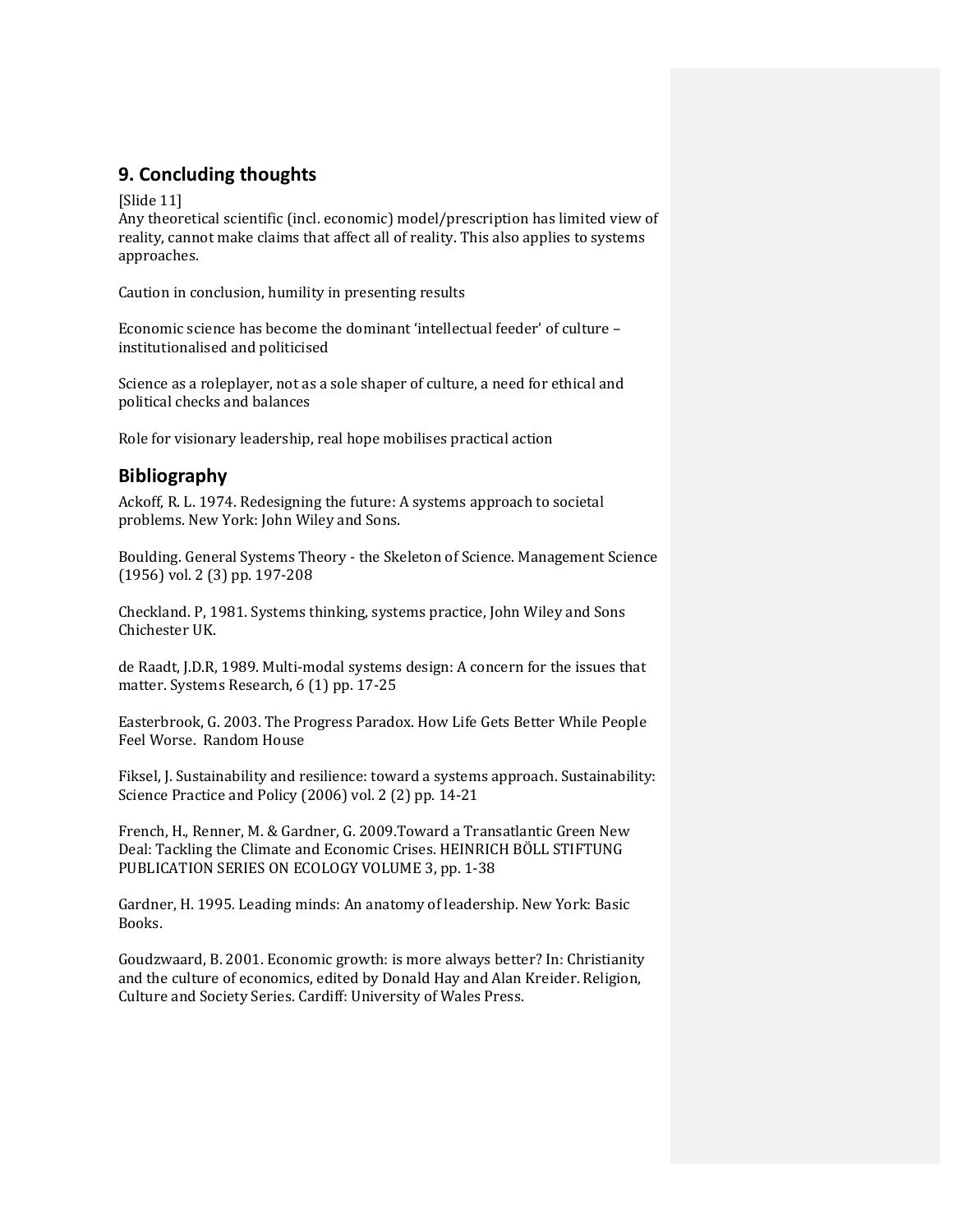# 9. Concluding thoughts

[Slide 11]

Any theoretical scientific (incl. economic) model/prescription has limited view of reality, cannot make claims that affect all of reality. This also applies to systems approaches.

Caution in conclusion, humility in presenting results

Economic science has become the dominant 'intellectual feeder' of culture – institutionalised and politicised

Science as a roleplayer, not as a sole shaper of culture, a need for ethical and political checks and balances

Role for visionary leadership, real hope mobilises practical action

## Bibliography

Ackoff, R. L. 1974. Redesigning the future: A systems approach to societal problems. New York: John Wiley and Sons.

Boulding. General Systems Theory - the Skeleton of Science. Management Science (1956) vol. 2 (3) pp. 197-208

Checkland. P, 1981. Systems thinking, systems practice, John Wiley and Sons Chichester UK.

de Raadt, J.D.R, 1989. Multi-modal systems design: A concern for the issues that matter. Systems Research, 6 (1) pp. 17-25

Easterbrook, G. 2003. The Progress Paradox. How Life Gets Better While People Feel Worse. Random House

Fiksel, J. Sustainability and resilience: toward a systems approach. Sustainability: Science Practice and Policy (2006) vol. 2 (2) pp. 14-21

French, H., Renner, M. & Gardner, G. 2009.Toward a Transatlantic Green New Deal: Tackling the Climate and Economic Crises. HEINRICH BÖLL STIFTUNG PUBLICATION SERIES ON ECOLOGY VOLUME 3, pp. 1-38

Gardner, H. 1995. Leading minds: An anatomy of leadership. New York: Basic Books.

Goudzwaard, B. 2001. Economic growth: is more always better? In: Christianity and the culture of economics, edited by Donald Hay and Alan Kreider. Religion, Culture and Society Series. Cardiff: University of Wales Press.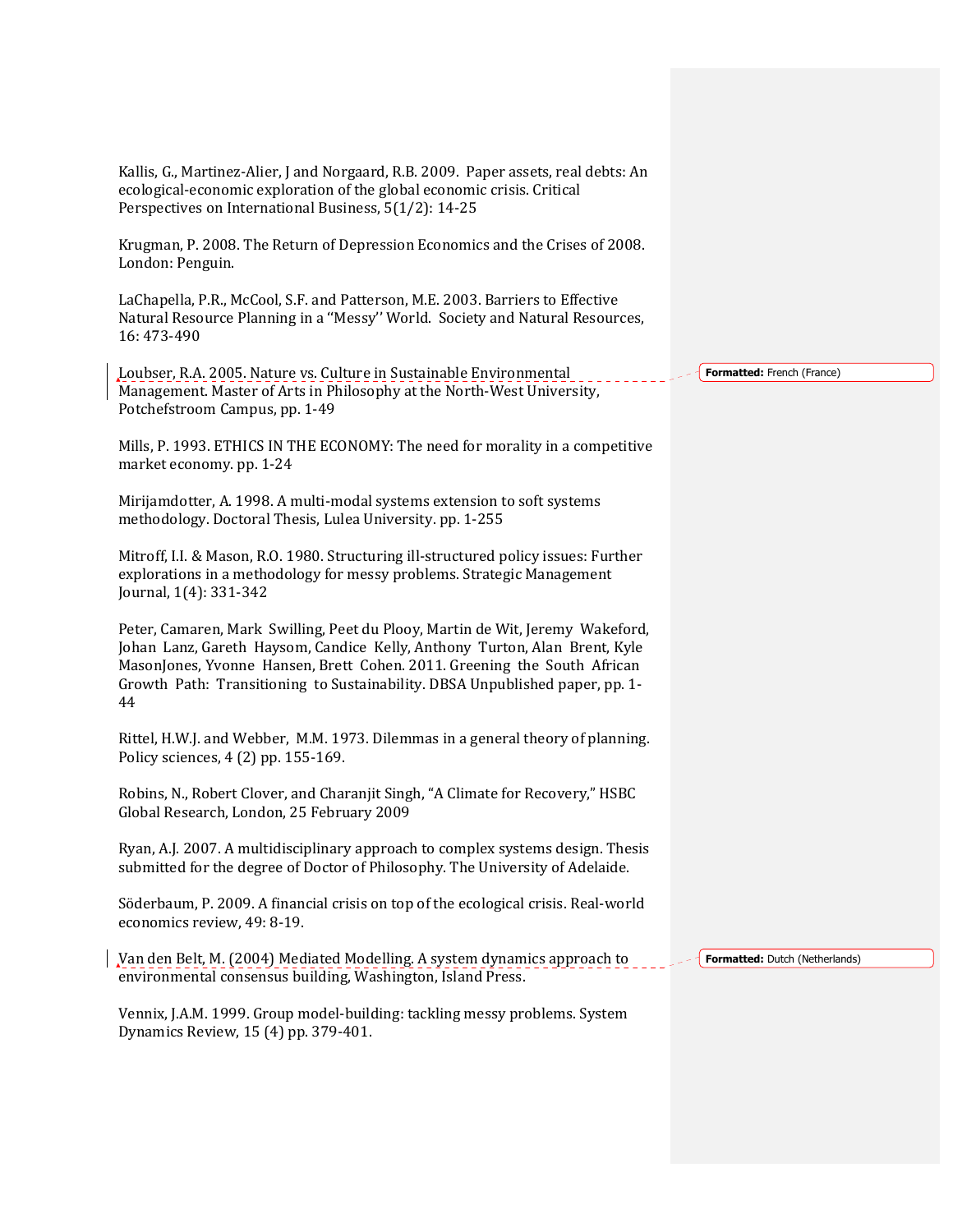Kallis, G., Martinez-Alier, J and Norgaard, R.B. 2009. Paper assets, real debts: An ecological-economic exploration of the global economic crisis. Critical Perspectives on International Business, 5(1/2): 14-25

Krugman, P. 2008. The Return of Depression Economics and the Crises of 2008. London: Penguin.

LaChapella, P.R., McCool, S.F. and Patterson, M.E. 2003. Barriers to Effective Natural Resource Planning in a ''Messy'' World. Society and Natural Resources, 16: 473-490

Loubser, R.A. 2005. Nature vs. Culture in Sustainable Environmental Management. Master of Arts in Philosophy at the North-West University, Potchefstroom Campus, pp. 1-49

Mills, P. 1993. ETHICS IN THE ECONOMY: The need for morality in a competitive market economy. pp. 1-24

Mirijamdotter, A. 1998. A multi-modal systems extension to soft systems methodology. Doctoral Thesis, Lulea University. pp. 1-255

Mitroff, I.I. & Mason, R.O. 1980. Structuring ill-structured policy issues: Further explorations in a methodology for messy problems. Strategic Management Journal, 1(4): 331-342

Peter, Camaren, Mark Swilling, Peet du Plooy, Martin de Wit, Jeremy Wakeford, Johan Lanz, Gareth Haysom, Candice Kelly, Anthony Turton, Alan Brent, Kyle MasonJones, Yvonne Hansen, Brett Cohen. 2011. Greening the South African Growth Path: Transitioning to Sustainability. DBSA Unpublished paper, pp. 1- 44

Rittel, H.W.J. and Webber, M.M. 1973. Dilemmas in a general theory of planning. Policy sciences, 4 (2) pp. 155-169.

Robins, N., Robert Clover, and Charanjit Singh, "A Climate for Recovery," HSBC Global Research, London, 25 February 2009

Ryan, A.J. 2007. A multidisciplinary approach to complex systems design. Thesis submitted for the degree of Doctor of Philosophy. The University of Adelaide.

Söderbaum, P. 2009. A financial crisis on top of the ecological crisis. Real-world economics review, 49: 8-19.

Van den Belt, M. (2004) Mediated Modelling. A system dynamics approach to environmental consensus building, Washington, Island Press.

Formatted: Dutch (Netherlands)

Vennix, J.A.M. 1999. Group model-building: tackling messy problems. System Dynamics Review, 15 (4) pp. 379-401.

Formatted: French (France)